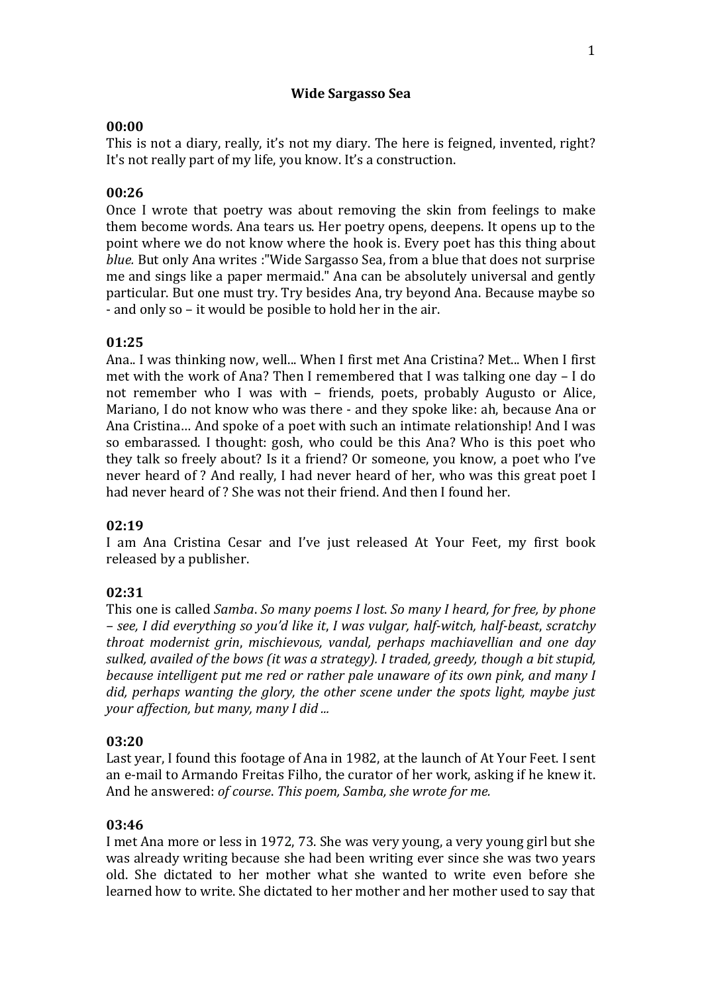### **Wide Sargasso Sea**

## **00:00**

This is not a diary, really, it's not my diary. The here is feigned, invented, right? It's not really part of my life, you know. It's a construction.

# **00:26**

Once I wrote that poetry was about removing the skin from feelings to make them become words. Ana tears us. Her poetry opens, deepens. It opens up to the point where we do not know where the hook is. Every poet has this thing about *blue.* But only Ana writes :"Wide Sargasso Sea, from a blue that does not surprise me and sings like a paper mermaid." Ana can be absolutely universal and gently particular. But one must try. Try besides Ana, try beyond Ana. Because maybe so - and only so – it would be posible to hold her in the air.

# **01:25**

Ana.. I was thinking now, well... When I first met Ana Cristina? Met... When I first met with the work of Ana? Then I remembered that I was talking one day – I do not remember who I was with – friends, poets, probably Augusto or Alice, Mariano, I do not know who was there - and they spoke like: ah, because Ana or Ana Cristina… And spoke of a poet with such an intimate relationship! And I was so embarassed. I thought: gosh, who could be this Ana? Who is this poet who they talk so freely about? Is it a friend? Or someone, you know, a poet who I've never heard of ? And really, I had never heard of her, who was this great poet I had never heard of ? She was not their friend. And then I found her.

## **02:19**

I am Ana Cristina Cesar and I've just released At Your Feet, my first book released by a publisher.

# **02:31**

This one is called *Samba*. *So many poems I lost*. *So many I heard, for free, by phone – see, I did everything so you'd like it*, *I was vulgar, half-witch, half-beast*, *scratchy throat modernist grin*, *mischievous, vandal, perhaps machiavellian and one day sulked, availed of the bows (it was a strategy). I traded, greedy, though a bit stupid, because intelligent put me red or rather pale unaware of its own pink, and many I did, perhaps wanting the glory, the other scene under the spots light, maybe just your affection, but many, many I did ...*

## **03:20**

Last year, I found this footage of Ana in 1982, at the launch of At Your Feet. I sent an e-mail to Armando Freitas Filho, the curator of her work, asking if he knew it. And he answered: *of course*. *This poem, Samba, she wrote for me.*

## **03:46**

I met Ana more or less in 1972, 73. She was very young, a very young girl but she was already writing because she had been writing ever since she was two years old. She dictated to her mother what she wanted to write even before she learned how to write. She dictated to her mother and her mother used to say that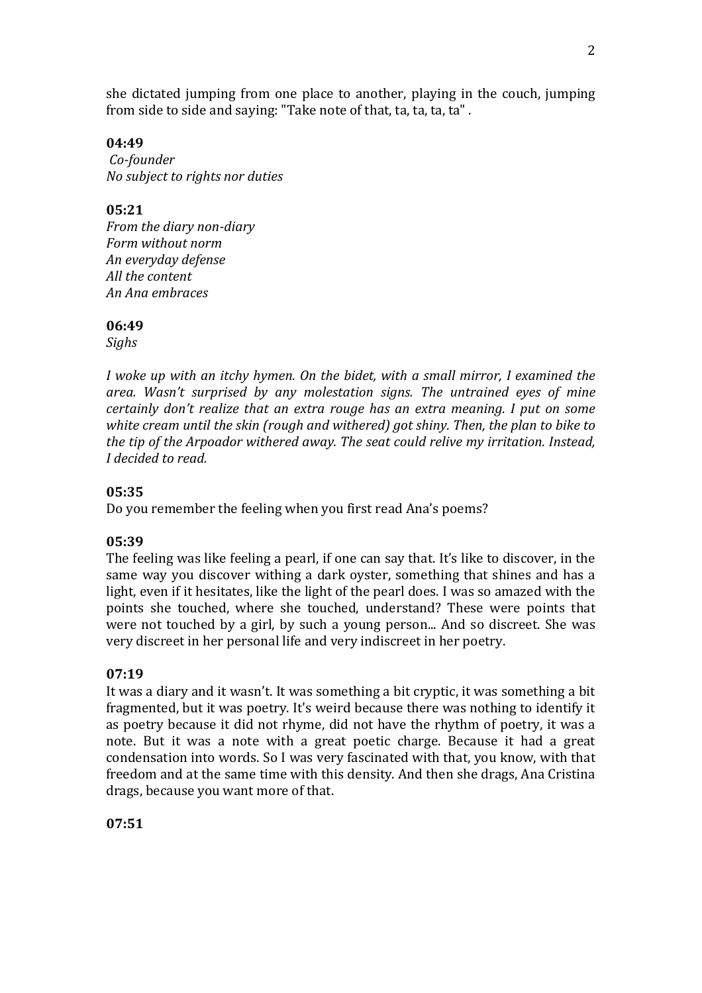she dictated jumping from one place to another, playing in the couch, jumping from side to side and saying: "Take note of that, ta, ta, ta, ta" .

**04:49** *Co-founder No subject to rights nor duties*

**05:21** *From the diary non-diary Form without norm An everyday defense All the content An Ana embraces*

#### **06:49**

*Sighs*

*I woke up with an itchy hymen. On the bidet, with a small mirror, I examined the area. Wasn't surprised by any molestation signs. The untrained eyes of mine certainly don't realize that an extra rouge has an extra meaning. I put on some white cream until the skin (rough and withered) got shiny. Then, the plan to bike to the tip of the Arpoador withered away. The seat could relive my irritation. Instead, I decided to read.* 

### **05:35**

Do you remember the feeling when you first read Ana's poems?

#### **05:39**

The feeling was like feeling a pearl, if one can say that. It's like to discover, in the same way you discover withing a dark oyster, something that shines and has a light, even if it hesitates, like the light of the pearl does. I was so amazed with the points she touched, where she touched, understand? These were points that were not touched by a girl, by such a young person... And so discreet. She was very discreet in her personal life and very indiscreet in her poetry.

#### **07:19**

It was a diary and it wasn't. It was something a bit cryptic, it was something a bit fragmented, but it was poetry. It's weird because there was nothing to identify it as poetry because it did not rhyme, did not have the rhythm of poetry, it was a note. But it was a note with a great poetic charge. Because it had a great condensation into words. So I was very fascinated with that, you know, with that freedom and at the same time with this density. And then she drags, Ana Cristina drags, because you want more of that.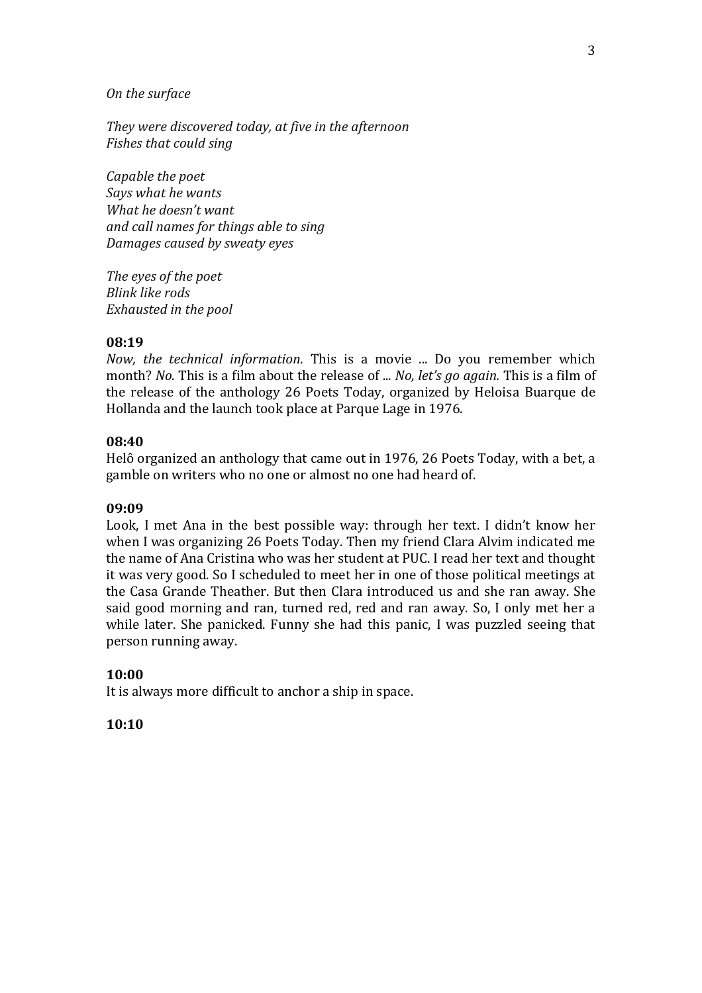#### *On the surface*

*They were discovered today, at five in the afternoon Fishes that could sing*

*Capable the poet Says what he wants What he doesn't want and call names for things able to sing Damages caused by sweaty eyes*

*The eyes of the poet Blink like rods Exhausted in the pool*

### **08:19**

*Now, the technical information*. This is a movie ... Do you remember which month? *No.* This is a film about the release of ... *No, let's go again.* This is a film of the release of the anthology 26 Poets Today, organized by Heloisa Buarque de Hollanda and the launch took place at Parque Lage in 1976.

#### **08:40**

Helô organized an anthology that came out in 1976, 26 Poets Today, with a bet, a gamble on writers who no one or almost no one had heard of.

#### **09:09**

Look, I met Ana in the best possible way: through her text. I didn't know her when I was organizing 26 Poets Today. Then my friend Clara Alvim indicated me the name of Ana Cristina who was her student at PUC. I read her text and thought it was very good. So I scheduled to meet her in one of those political meetings at the Casa Grande Theather. But then Clara introduced us and she ran away. She said good morning and ran, turned red, red and ran away. So, I only met her a while later. She panicked. Funny she had this panic, I was puzzled seeing that person running away.

#### **10:00**

It is always more difficult to anchor a ship in space.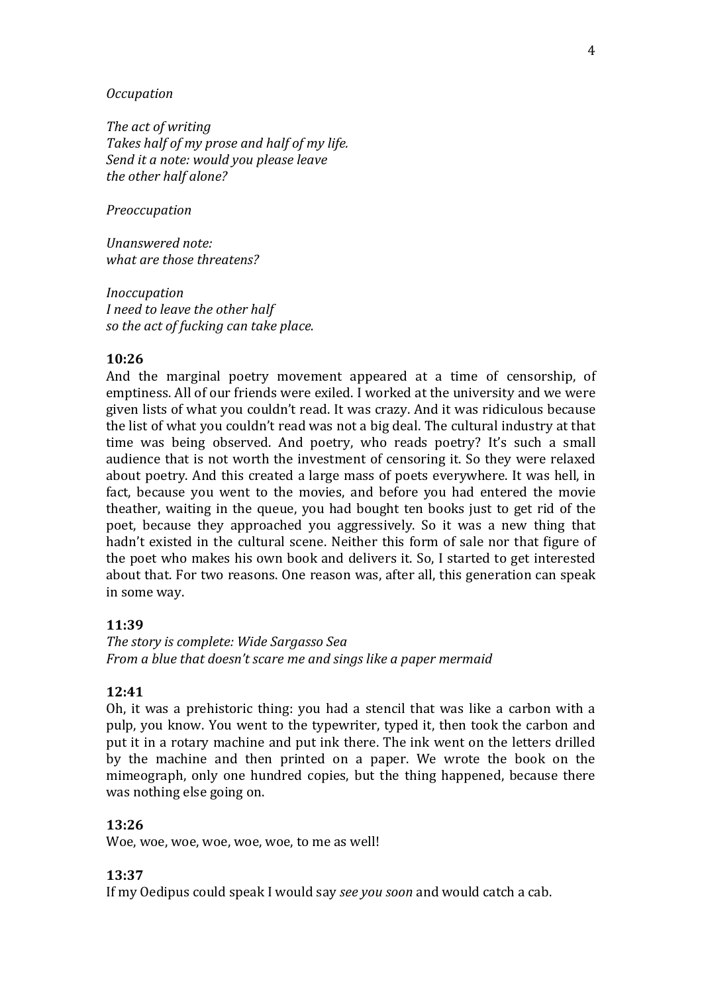#### *Occupation*

*The act of writing Takes half of my prose and half of my life. Send it a note: would you please leave the other half alone?*

*Preoccupation*

*Unanswered note: what are those threatens?*

*Inoccupation I need to leave the other half so the act of fucking can take place.*

### **10:26**

And the marginal poetry movement appeared at a time of censorship, of emptiness. All of our friends were exiled. I worked at the university and we were given lists of what you couldn't read. It was crazy. And it was ridiculous because the list of what you couldn't read was not a big deal. The cultural industry at that time was being observed. And poetry, who reads poetry? It's such a small audience that is not worth the investment of censoring it. So they were relaxed about poetry. And this created a large mass of poets everywhere. It was hell, in fact, because you went to the movies, and before you had entered the movie theather, waiting in the queue, you had bought ten books just to get rid of the poet, because they approached you aggressively. So it was a new thing that hadn't existed in the cultural scene. Neither this form of sale nor that figure of the poet who makes his own book and delivers it. So, I started to get interested about that. For two reasons. One reason was, after all, this generation can speak in some way.

#### **11:39**

*The story is complete: Wide Sargasso Sea From a blue that doesn't scare me and sings like a paper mermaid*

#### **12:41**

Oh, it was a prehistoric thing: you had a stencil that was like a carbon with a pulp, you know. You went to the typewriter, typed it, then took the carbon and put it in a rotary machine and put ink there. The ink went on the letters drilled by the machine and then printed on a paper. We wrote the book on the mimeograph, only one hundred copies, but the thing happened, because there was nothing else going on.

#### **13:26**

Woe, woe, woe, woe, woe, woe, to me as well!

#### **13:37**

If my Oedipus could speak I would say *see you soon* and would catch a cab.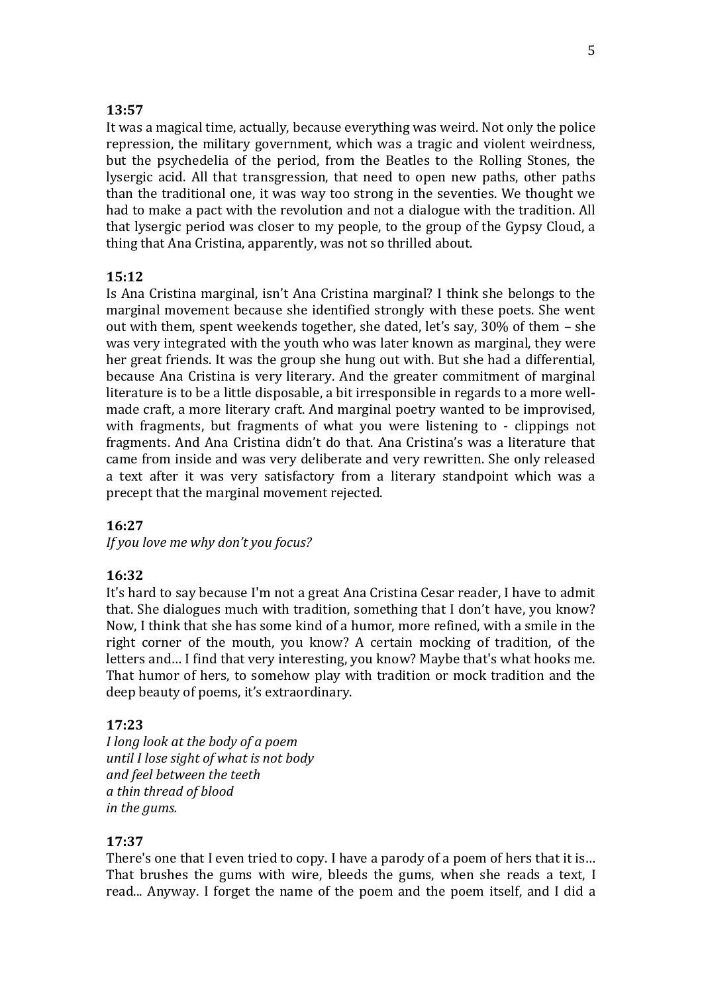### **13:57**

It was a magical time, actually, because everything was weird. Not only the police repression, the military government, which was a tragic and violent weirdness, but the psychedelia of the period, from the Beatles to the Rolling Stones, the lysergic acid. All that transgression, that need to open new paths, other paths than the traditional one, it was way too strong in the seventies. We thought we had to make a pact with the revolution and not a dialogue with the tradition. All that lysergic period was closer to my people, to the group of the Gypsy Cloud, a thing that Ana Cristina, apparently, was not so thrilled about.

#### **15:12**

Is Ana Cristina marginal, isn't Ana Cristina marginal? I think she belongs to the marginal movement because she identified strongly with these poets. She went out with them, spent weekends together, she dated, let's say, 30% of them – she was very integrated with the youth who was later known as marginal, they were her great friends. It was the group she hung out with. But she had a differential, because Ana Cristina is very literary. And the greater commitment of marginal literature is to be a little disposable, a bit irresponsible in regards to a more wellmade craft, a more literary craft. And marginal poetry wanted to be improvised, with fragments, but fragments of what you were listening to - clippings not fragments. And Ana Cristina didn't do that. Ana Cristina's was a literature that came from inside and was very deliberate and very rewritten. She only released a text after it was very satisfactory from a literary standpoint which was a precept that the marginal movement rejected.

### **16:27**

*If you love me why don't you focus?*

### **16:32**

It's hard to say because I'm not a great Ana Cristina Cesar reader, I have to admit that. She dialogues much with tradition, something that I don't have, you know? Now, I think that she has some kind of a humor, more refined, with a smile in the right corner of the mouth, you know? A certain mocking of tradition, of the letters and… I find that very interesting, you know? Maybe that's what hooks me. That humor of hers, to somehow play with tradition or mock tradition and the deep beauty of poems, it's extraordinary.

#### **17:23**

*I long look at the body of a poem until I lose sight of what is not body and feel between the teeth a thin thread of blood in the gums.*

#### **17:37**

There's one that I even tried to copy. I have a parody of a poem of hers that it is… That brushes the gums with wire, bleeds the gums, when she reads a text, I read... Anyway. I forget the name of the poem and the poem itself, and I did a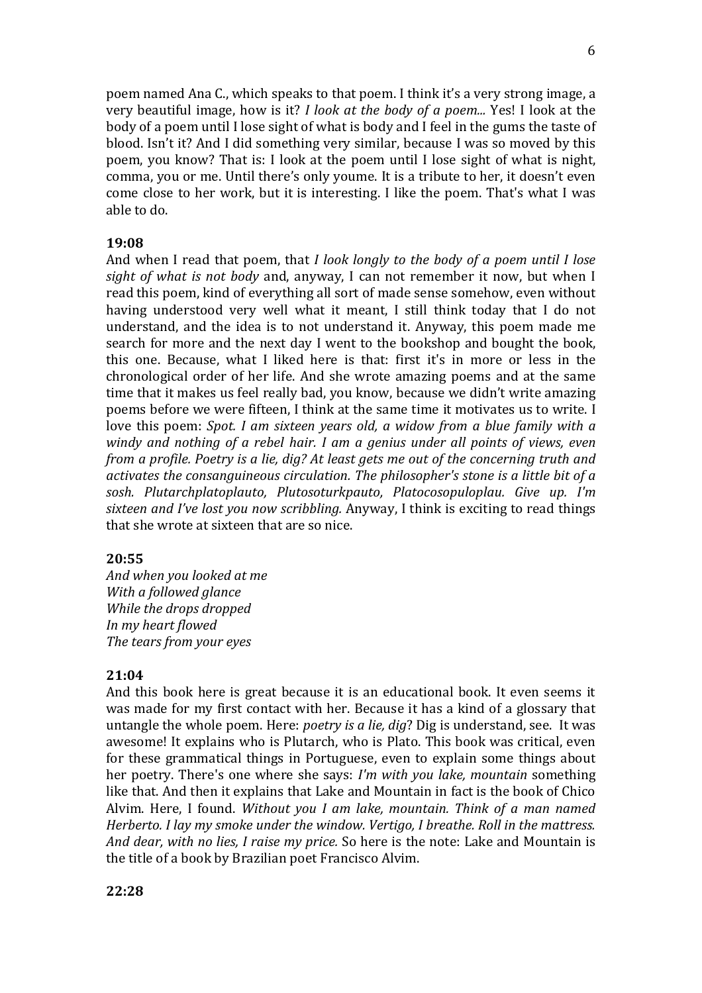poem named Ana C., which speaks to that poem. I think it's a very strong image, a very beautiful image, how is it? *I look at the body of a poem...* Yes! I look at the body of a poem until I lose sight of what is body and I feel in the gums the taste of blood. Isn't it? And I did something very similar, because I was so moved by this poem, you know? That is: I look at the poem until I lose sight of what is night, comma, you or me. Until there's only youme. It is a tribute to her, it doesn't even come close to her work, but it is interesting. I like the poem. That's what I was able to do.

#### **19:08**

And when I read that poem, that *I look longly to the body of a poem until I lose sight of what is not body* and, anyway, I can not remember it now, but when I read this poem, kind of everything all sort of made sense somehow, even without having understood very well what it meant, I still think today that I do not understand, and the idea is to not understand it. Anyway, this poem made me search for more and the next day I went to the bookshop and bought the book, this one. Because, what I liked here is that: first it's in more or less in the chronological order of her life. And she wrote amazing poems and at the same time that it makes us feel really bad, you know, because we didn't write amazing poems before we were fifteen, I think at the same time it motivates us to write. I love this poem: *Spot. I am sixteen years old, a widow from a blue family with a windy and nothing of a rebel hair. I am a genius under all points of views, even from a profile. Poetry is a lie, dig? At least gets me out of the concerning truth and activates the consanguineous circulation. The philosopher's stone is a little bit of a sosh. Plutarchplatoplauto, Plutosoturkpauto, Platocosopuloplau. Give up. I'm sixteen and I've lost you now scribbling.* Anyway, I think is exciting to read things that she wrote at sixteen that are so nice.

#### **20:55**

*And when you looked at me With a followed glance While the drops dropped In my heart flowed The tears from your eyes*

#### **21:04**

And this book here is great because it is an educational book. It even seems it was made for my first contact with her. Because it has a kind of a glossary that untangle the whole poem. Here: *poetry is a lie, dig*? Dig is understand, see. It was awesome! It explains who is Plutarch, who is Plato. This book was critical, even for these grammatical things in Portuguese, even to explain some things about her poetry. There's one where she says: *I'm with you lake, mountain* something like that. And then it explains that Lake and Mountain in fact is the book of Chico Alvim. Here, I found. *Without you I am lake, mountain. Think of a man named Herberto. I lay my smoke under the window. Vertigo, I breathe. Roll in the mattress. And dear, with no lies, I raise my price.* So here is the note: Lake and Mountain is the title of a book by Brazilian poet Francisco Alvim.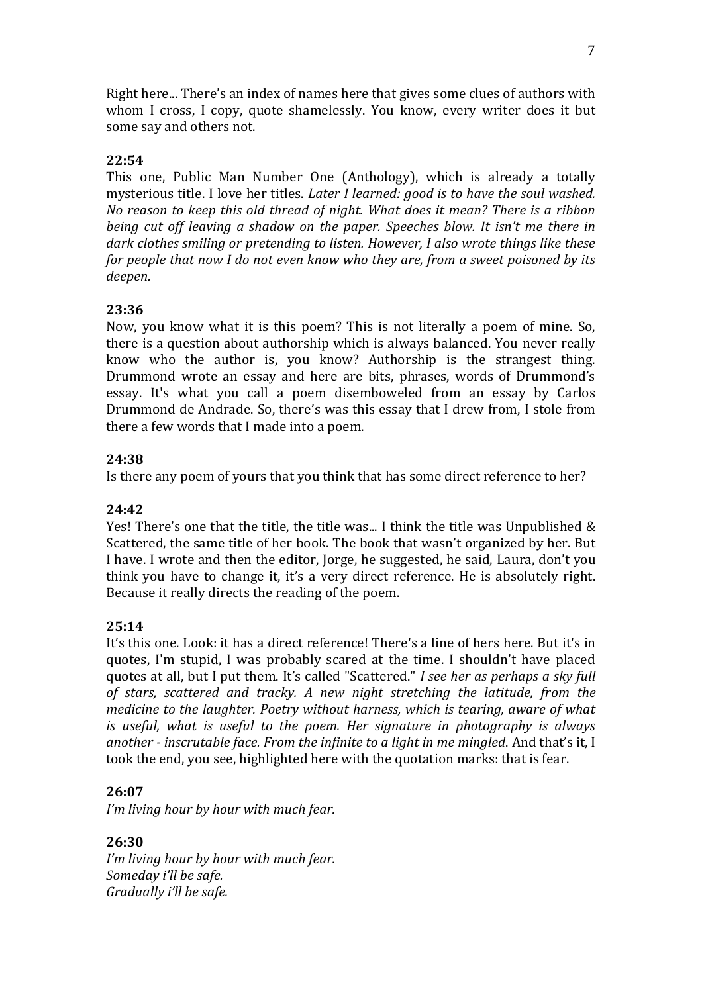Right here... There's an index of names here that gives some clues of authors with whom I cross, I copy, quote shamelessly. You know, every writer does it but some say and others not.

## **22:54**

This one, Public Man Number One (Anthology), which is already a totally mysterious title. I love her titles. *Later I learned: good is to have the soul washed. No reason to keep this old thread of night. What does it mean? There is a ribbon being cut off leaving a shadow on the paper. Speeches blow. It isn't me there in dark clothes smiling or pretending to listen. However, I also wrote things like these for people that now I do not even know who they are, from a sweet poisoned by its deepen.*

## **23:36**

Now, you know what it is this poem? This is not literally a poem of mine. So, there is a question about authorship which is always balanced. You never really know who the author is, you know? Authorship is the strangest thing. Drummond wrote an essay and here are bits, phrases, words of Drummond's essay. It's what you call a poem disemboweled from an essay by Carlos Drummond de Andrade. So, there's was this essay that I drew from, I stole from there a few words that I made into a poem.

## **24:38**

Is there any poem of yours that you think that has some direct reference to her?

## **24:42**

Yes! There's one that the title, the title was... I think the title was Unpublished & Scattered, the same title of her book. The book that wasn't organized by her. But I have. I wrote and then the editor, Jorge, he suggested, he said, Laura, don't you think you have to change it, it's a very direct reference. He is absolutely right. Because it really directs the reading of the poem.

## **25:14**

It's this one. Look: it has a direct reference! There's a line of hers here. But it's in quotes, I'm stupid, I was probably scared at the time. I shouldn't have placed quotes at all, but I put them. It's called "Scattered." *I see her as perhaps a sky full of stars, scattered and tracky. A new night stretching the latitude, from the medicine to the laughter. Poetry without harness, which is tearing, aware of what is useful, what is useful to the poem. Her signature in photography is always another - inscrutable face. From the infinite to a light in me mingled*. And that's it, I took the end, you see, highlighted here with the quotation marks: that is fear.

## **26:07**

*I'm living hour by hour with much fear.* 

## **26:30**

*I'm living hour by hour with much fear. Someday i'll be safe. Gradually i'll be safe.*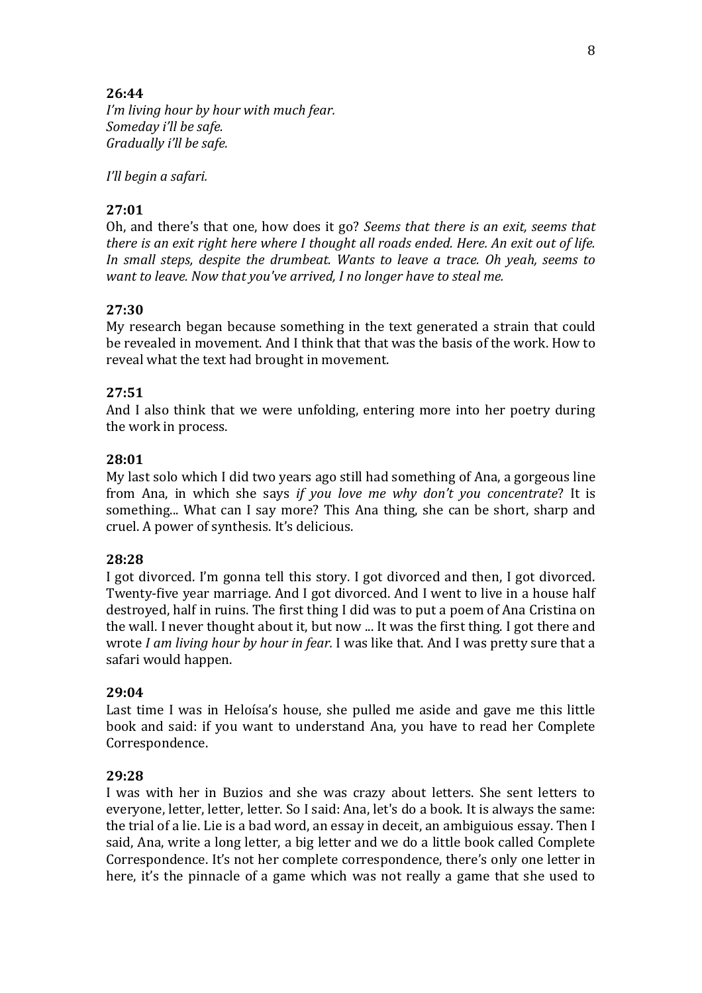## **26:44**

*I'm living hour by hour with much fear. Someday i'll be safe. Gradually i'll be safe.* 

*I'll begin a safari.*

## **27:01**

Oh, and there's that one, how does it go? *Seems that there is an exit, seems that there is an exit right here where I thought all roads ended. Here. An exit out of life. In small steps, despite the drumbeat. Wants to leave a trace. Oh yeah, seems to want to leave. Now that you've arrived, I no longer have to steal me.*

# **27:30**

My research began because something in the text generated a strain that could be revealed in movement. And I think that that was the basis of the work. How to reveal what the text had brought in movement.

# **27:51**

And I also think that we were unfolding, entering more into her poetry during the work in process.

## **28:01**

My last solo which I did two years ago still had something of Ana, a gorgeous line from Ana, in which she says *if you love me why don't you concentrate*? It is something... What can I say more? This Ana thing, she can be short, sharp and cruel. A power of synthesis. It's delicious.

## **28:28**

I got divorced. I'm gonna tell this story. I got divorced and then, I got divorced. Twenty-five year marriage. And I got divorced. And I went to live in a house half destroyed, half in ruins. The first thing I did was to put a poem of Ana Cristina on the wall. I never thought about it, but now ... It was the first thing. I got there and wrote *I am living hour by hour in fear.* I was like that. And I was pretty sure that a safari would happen.

#### **29:04**

Last time I was in Heloísa's house, she pulled me aside and gave me this little book and said: if you want to understand Ana, you have to read her Complete Correspondence.

## **29:28**

I was with her in Buzios and she was crazy about letters. She sent letters to everyone, letter, letter, letter. So I said: Ana, let's do a book. It is always the same: the trial of a lie. Lie is a bad word, an essay in deceit, an ambiguious essay. Then I said, Ana, write a long letter, a big letter and we do a little book called Complete Correspondence. It's not her complete correspondence, there's only one letter in here, it's the pinnacle of a game which was not really a game that she used to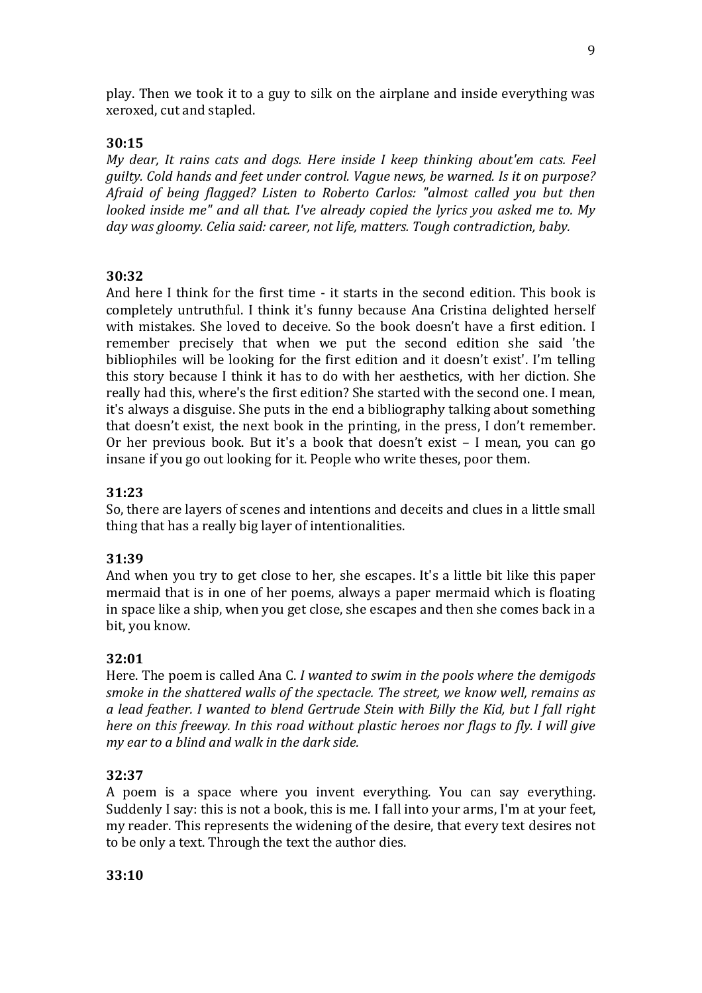play. Then we took it to a guy to silk on the airplane and inside everything was xeroxed, cut and stapled.

#### **30:15**

*My dear, It rains cats and dogs. Here inside I keep thinking about'em cats. Feel guilty. Cold hands and feet under control. Vague news, be warned. Is it on purpose? Afraid of being flagged? Listen to Roberto Carlos: "almost called you but then looked inside me" and all that. I've already copied the lyrics you asked me to. My day was gloomy. Celia said: career, not life, matters. Tough contradiction, baby.*

### **30:32**

And here I think for the first time - it starts in the second edition. This book is completely untruthful. I think it's funny because Ana Cristina delighted herself with mistakes. She loved to deceive. So the book doesn't have a first edition. I remember precisely that when we put the second edition she said 'the bibliophiles will be looking for the first edition and it doesn't exist'. I'm telling this story because I think it has to do with her aesthetics, with her diction. She really had this, where's the first edition? She started with the second one. I mean, it's always a disguise. She puts in the end a bibliography talking about something that doesn't exist, the next book in the printing, in the press, I don't remember. Or her previous book. But it's a book that doesn't exist – I mean, you can go insane if you go out looking for it. People who write theses, poor them.

### **31:23**

So, there are layers of scenes and intentions and deceits and clues in a little small thing that has a really big layer of intentionalities.

#### **31:39**

And when you try to get close to her, she escapes. It's a little bit like this paper mermaid that is in one of her poems, always a paper mermaid which is floating in space like a ship, when you get close, she escapes and then she comes back in a bit, you know.

#### **32:01**

Here. The poem is called Ana C. *I wanted to swim in the pools where the demigods smoke in the shattered walls of the spectacle. The street, we know well, remains as a lead feather. I wanted to blend Gertrude Stein with Billy the Kid, but I fall right here on this freeway. In this road without plastic heroes nor flags to fly. I will give my ear to a blind and walk in the dark side.*

#### **32:37**

A poem is a space where you invent everything. You can say everything. Suddenly I say: this is not a book, this is me. I fall into your arms, I'm at your feet, my reader. This represents the widening of the desire, that every text desires not to be only a text. Through the text the author dies.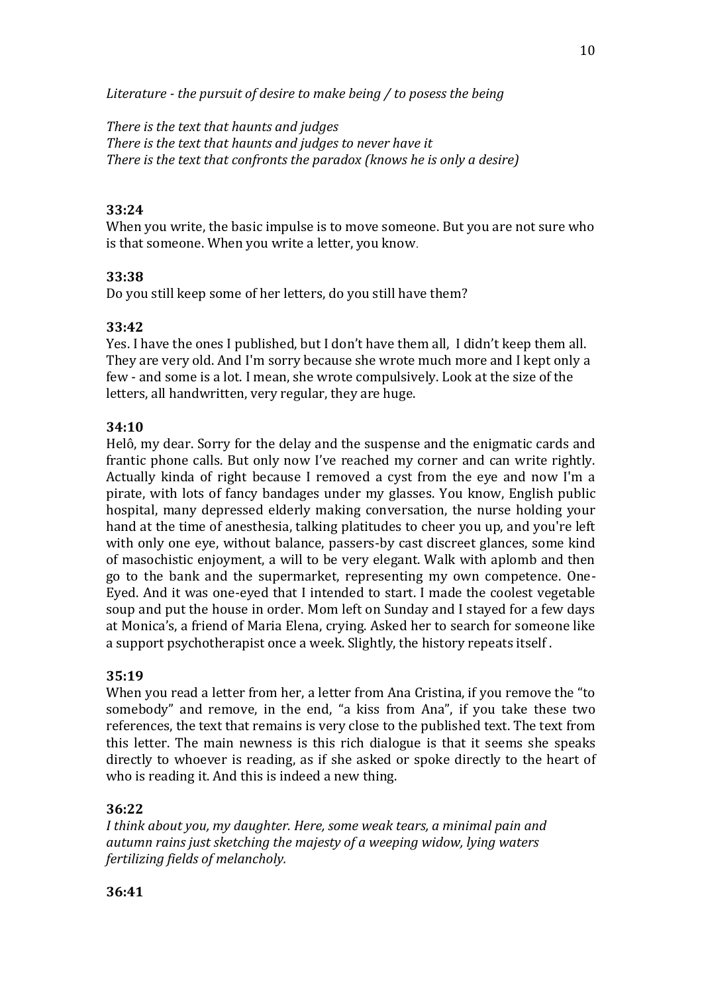*Literature - the pursuit of desire to make being / to posess the being*

*There is the text that haunts and judges There is the text that haunts and judges to never have it There is the text that confronts the paradox (knows he is only a desire)*

# **33:24**

When you write, the basic impulse is to move someone. But you are not sure who is that someone. When you write a letter, you know.

# **33:38**

Do you still keep some of her letters, do you still have them?

# **33:42**

Yes. I have the ones I published, but I don't have them all, I didn't keep them all. They are very old. And I'm sorry because she wrote much more and I kept only a few - and some is a lot. I mean, she wrote compulsively. Look at the size of the letters, all handwritten, very regular, they are huge.

# **34:10**

Helô, my dear. Sorry for the delay and the suspense and the enigmatic cards and frantic phone calls. But only now I've reached my corner and can write rightly. Actually kinda of right because I removed a cyst from the eye and now I'm a pirate, with lots of fancy bandages under my glasses. You know, English public hospital, many depressed elderly making conversation, the nurse holding your hand at the time of anesthesia, talking platitudes to cheer you up, and you're left with only one eye, without balance, passers-by cast discreet glances, some kind of masochistic enjoyment, a will to be very elegant. Walk with aplomb and then go to the bank and the supermarket, representing my own competence. One-Eyed. And it was one-eyed that I intended to start. I made the coolest vegetable soup and put the house in order. Mom left on Sunday and I stayed for a few days at Monica's, a friend of Maria Elena, crying. Asked her to search for someone like a support psychotherapist once a week. Slightly, the history repeats itself .

## **35:19**

When you read a letter from her, a letter from Ana Cristina, if you remove the "to somebody" and remove, in the end, "a kiss from Ana", if you take these two references, the text that remains is very close to the published text. The text from this letter. The main newness is this rich dialogue is that it seems she speaks directly to whoever is reading, as if she asked or spoke directly to the heart of who is reading it. And this is indeed a new thing.

## **36:22**

*I think about you, my daughter. Here, some weak tears, a minimal pain and autumn rains just sketching the majesty of a weeping widow, lying waters fertilizing fields of melancholy.*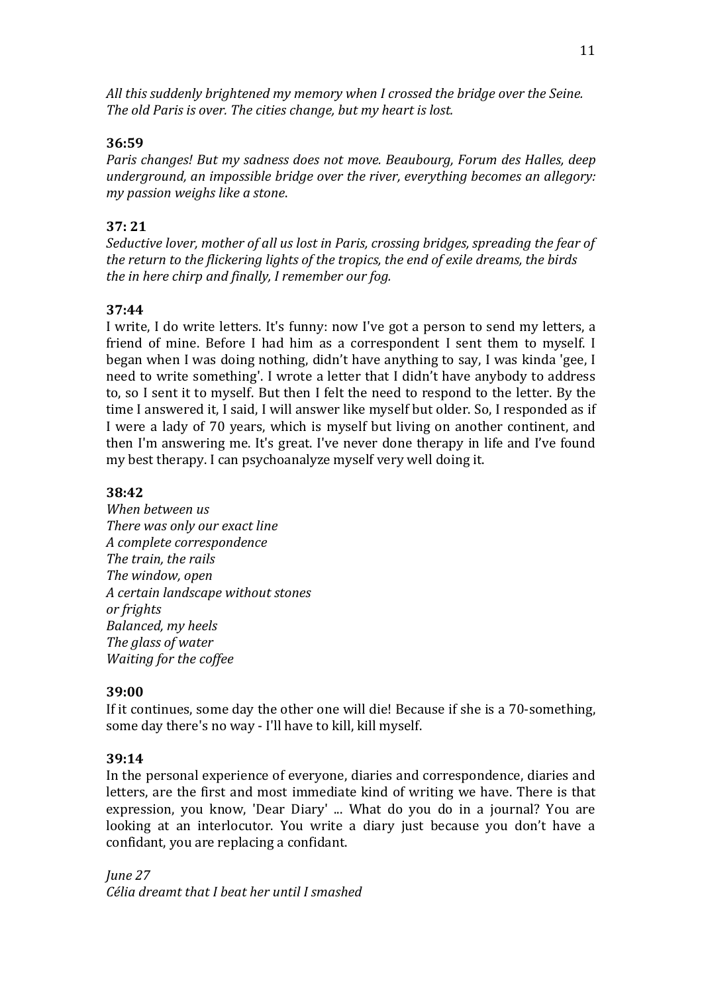*All this suddenly brightened my memory when I crossed the bridge over the Seine. The old Paris is over. The cities change, but my heart is lost.*

# **36:59**

*Paris changes! But my sadness does not move. Beaubourg, Forum des Halles, deep underground, an impossible bridge over the river, everything becomes an allegory: my passion weighs like a stone*.

# **37: 21**

*Seductive lover, mother of all us lost in Paris, crossing bridges, spreading the fear of the return to the flickering lights of the tropics, the end of exile dreams, the birds the in here chirp and finally, I remember our fog.*

# **37:44**

I write, I do write letters. It's funny: now I've got a person to send my letters, a friend of mine. Before I had him as a correspondent I sent them to myself. I began when I was doing nothing, didn't have anything to say, I was kinda 'gee, I need to write something'. I wrote a letter that I didn't have anybody to address to, so I sent it to myself. But then I felt the need to respond to the letter. By the time I answered it, I said, I will answer like myself but older. So, I responded as if I were a lady of 70 years, which is myself but living on another continent, and then I'm answering me. It's great. I've never done therapy in life and I've found my best therapy. I can psychoanalyze myself very well doing it.

# **38:42**

*When between us There was only our exact line A complete correspondence The train, the rails The window, open A certain landscape without stones or frights Balanced, my heels The glass of water Waiting for the coffee*

## **39:00**

If it continues, some day the other one will die! Because if she is a 70-something, some day there's no way - I'll have to kill, kill myself.

## **39:14**

In the personal experience of everyone, diaries and correspondence, diaries and letters, are the first and most immediate kind of writing we have. There is that expression, you know, 'Dear Diary' ... What do you do in a journal? You are looking at an interlocutor. You write a diary just because you don't have a confidant, you are replacing a confidant.

*June 27 Célia dreamt that I beat her until I smashed*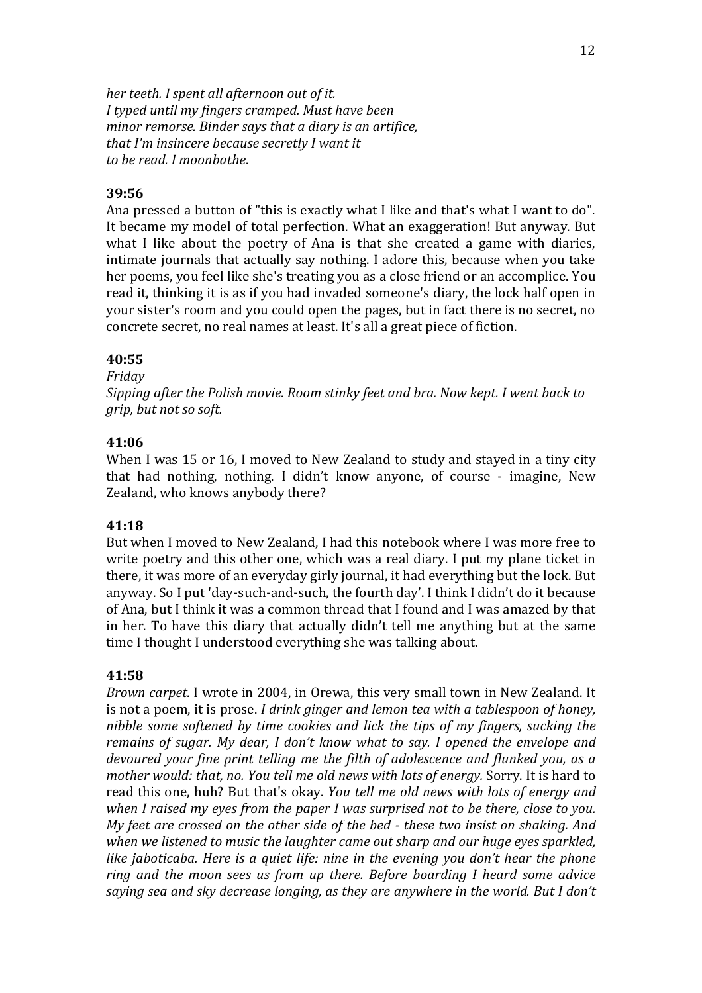*her teeth. I spent all afternoon out of it. I typed until my fingers cramped. Must have been minor remorse. Binder says that a diary is an artifice, that I'm insincere because secretly I want it to be read. I moonbathe*.

### **39:56**

Ana pressed a button of "this is exactly what I like and that's what I want to do". It became my model of total perfection. What an exaggeration! But anyway. But what I like about the poetry of Ana is that she created a game with diaries, intimate journals that actually say nothing. I adore this, because when you take her poems, you feel like she's treating you as a close friend or an accomplice. You read it, thinking it is as if you had invaded someone's diary, the lock half open in your sister's room and you could open the pages, but in fact there is no secret, no concrete secret, no real names at least. It's all a great piece of fiction.

### **40:55**

#### *Friday*

*Sipping after the Polish movie. Room stinky feet and bra. Now kept. I went back to grip, but not so soft.*

#### **41:06**

When I was 15 or 16, I moved to New Zealand to study and stayed in a tiny city that had nothing, nothing. I didn't know anyone, of course - imagine, New Zealand, who knows anybody there?

#### **41:18**

But when I moved to New Zealand, I had this notebook where I was more free to write poetry and this other one, which was a real diary. I put my plane ticket in there, it was more of an everyday girly journal, it had everything but the lock. But anyway. So I put 'day-such-and-such, the fourth day'. I think I didn't do it because of Ana, but I think it was a common thread that I found and I was amazed by that in her. To have this diary that actually didn't tell me anything but at the same time I thought I understood everything she was talking about.

#### **41:58**

*Brown carpet.* I wrote in 2004, in Orewa, this very small town in New Zealand. It is not a poem, it is prose. *I drink ginger and lemon tea with a tablespoon of honey, nibble some softened by time cookies and lick the tips of my fingers, sucking the remains of sugar. My dear, I don't know what to say. I opened the envelope and devoured your fine print telling me the filth of adolescence and flunked you, as a mother would: that, no. You tell me old news with lots of energy.* Sorry. It is hard to read this one, huh? But that's okay. *You tell me old news with lots of energy and when I raised my eyes from the paper I was surprised not to be there, close to you. My feet are crossed on the other side of the bed - these two insist on shaking. And when we listened to music the laughter came out sharp and our huge eyes sparkled, like jaboticaba. Here is a quiet life: nine in the evening you don't hear the phone ring and the moon sees us from up there. Before boarding I heard some advice saying sea and sky decrease longing, as they are anywhere in the world. But I don't*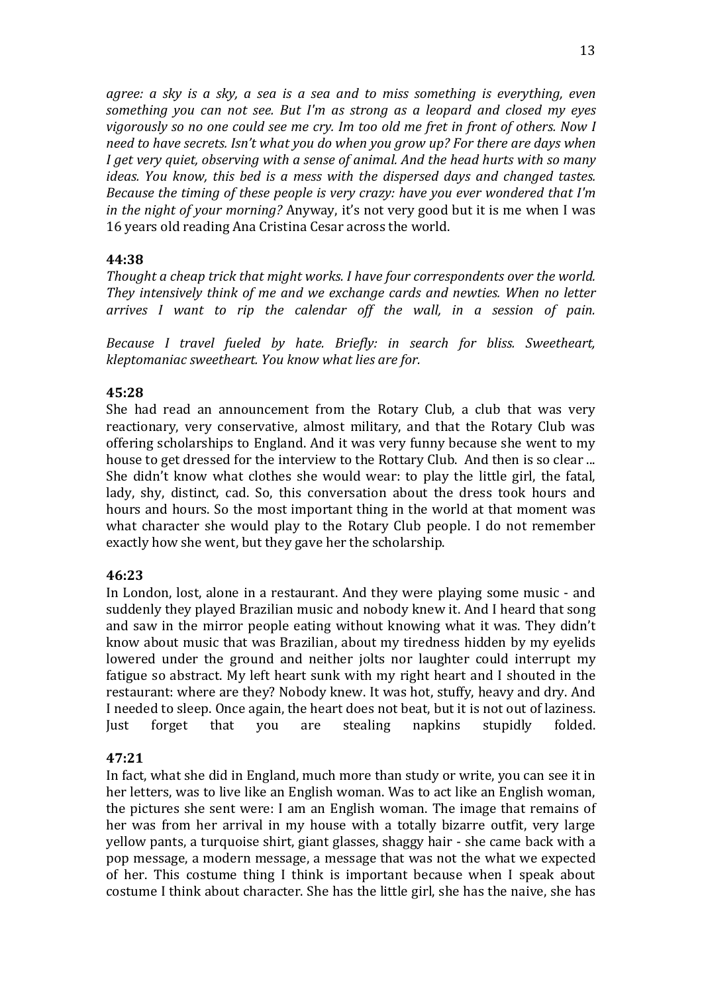*agree: a sky is a sky, a sea is a sea and to miss something is everything, even something you can not see. But I'm as strong as a leopard and closed my eyes vigorously so no one could see me cry. Im too old me fret in front of others. Now I need to have secrets. Isn't what you do when you grow up? For there are days when I get very quiet, observing with a sense of animal. And the head hurts with so many ideas. You know, this bed is a mess with the dispersed days and changed tastes. Because the timing of these people is very crazy: have you ever wondered that I'm in the night of your morning?* Anyway, it's not very good but it is me when I was 16 years old reading Ana Cristina Cesar across the world.

## **44:38**

*Thought a cheap trick that might works. I have four correspondents over the world. They intensively think of me and we exchange cards and newties. When no letter arrives I want to rip the calendar off the wall, in a session of pain.*

*Because I travel fueled by hate. Briefly: in search for bliss. Sweetheart, kleptomaniac sweetheart. You know what lies are for.*

### **45:28**

She had read an announcement from the Rotary Club, a club that was very reactionary, very conservative, almost military, and that the Rotary Club was offering scholarships to England. And it was very funny because she went to my house to get dressed for the interview to the Rottary Club. And then is so clear ... She didn't know what clothes she would wear: to play the little girl, the fatal, lady, shy, distinct, cad. So, this conversation about the dress took hours and hours and hours. So the most important thing in the world at that moment was what character she would play to the Rotary Club people. I do not remember exactly how she went, but they gave her the scholarship.

#### **46:23**

In London, lost, alone in a restaurant. And they were playing some music - and suddenly they played Brazilian music and nobody knew it. And I heard that song and saw in the mirror people eating without knowing what it was. They didn't know about music that was Brazilian, about my tiredness hidden by my eyelids lowered under the ground and neither jolts nor laughter could interrupt my fatigue so abstract. My left heart sunk with my right heart and I shouted in the restaurant: where are they? Nobody knew. It was hot, stuffy, heavy and dry. And I needed to sleep. Once again, the heart does not beat, but it is not out of laziness. Just forget that you are stealing napkins stupidly folded.

#### **47:21**

In fact, what she did in England, much more than study or write, you can see it in her letters, was to live like an English woman. Was to act like an English woman, the pictures she sent were: I am an English woman. The image that remains of her was from her arrival in my house with a totally bizarre outfit, very large yellow pants, a turquoise shirt, giant glasses, shaggy hair - she came back with a pop message, a modern message, a message that was not the what we expected of her. This costume thing I think is important because when I speak about costume I think about character. She has the little girl, she has the naive, she has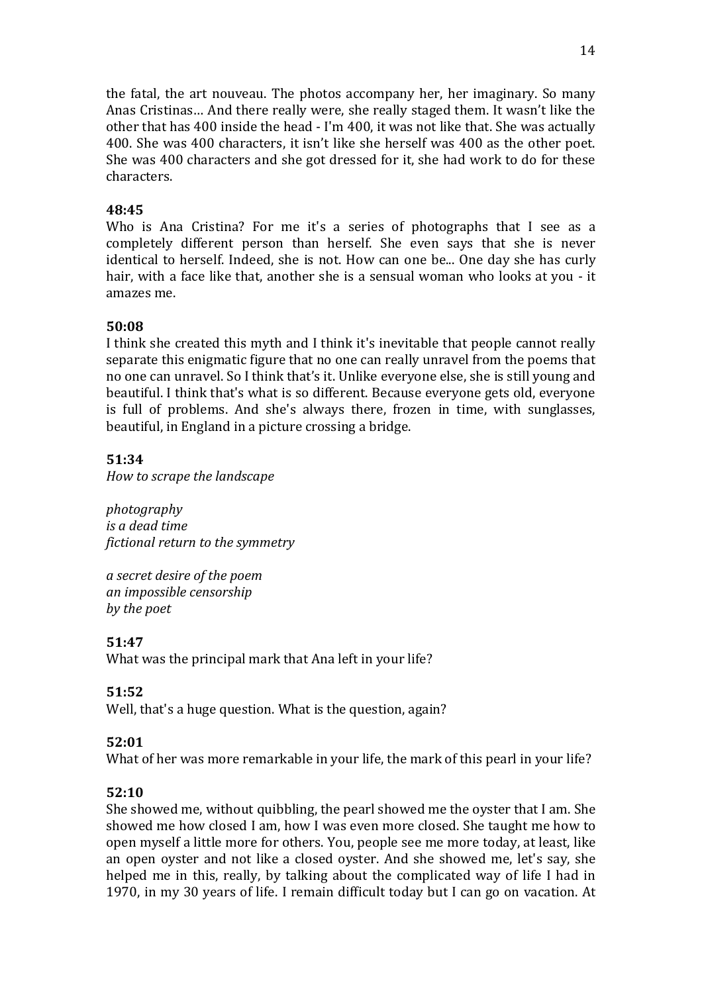the fatal, the art nouveau. The photos accompany her, her imaginary. So many Anas Cristinas… And there really were, she really staged them. It wasn't like the other that has 400 inside the head - I'm 400, it was not like that. She was actually 400. She was 400 characters, it isn't like she herself was 400 as the other poet. She was 400 characters and she got dressed for it, she had work to do for these characters.

## **48:45**

Who is Ana Cristina? For me it's a series of photographs that I see as a completely different person than herself. She even says that she is never identical to herself. Indeed, she is not. How can one be... One day she has curly hair, with a face like that, another she is a sensual woman who looks at you - it amazes me.

## **50:08**

I think she created this myth and I think it's inevitable that people cannot really separate this enigmatic figure that no one can really unravel from the poems that no one can unravel. So I think that's it. Unlike everyone else, she is still young and beautiful. I think that's what is so different. Because everyone gets old, everyone is full of problems. And she's always there, frozen in time, with sunglasses, beautiful, in England in a picture crossing a bridge.

# **51:34**

*How to scrape the landscape*

*photography is a dead time fictional return to the symmetry*

*a secret desire of the poem an impossible censorship by the poet*

# **51:47**

What was the principal mark that Ana left in your life?

## **51:52**

Well, that's a huge question. What is the question, again?

# **52:01**

What of her was more remarkable in your life, the mark of this pearl in your life?

## **52:10**

She showed me, without quibbling, the pearl showed me the oyster that I am. She showed me how closed I am, how I was even more closed. She taught me how to open myself a little more for others. You, people see me more today, at least, like an open oyster and not like a closed oyster. And she showed me, let's say, she helped me in this, really, by talking about the complicated way of life I had in 1970, in my 30 years of life. I remain difficult today but I can go on vacation. At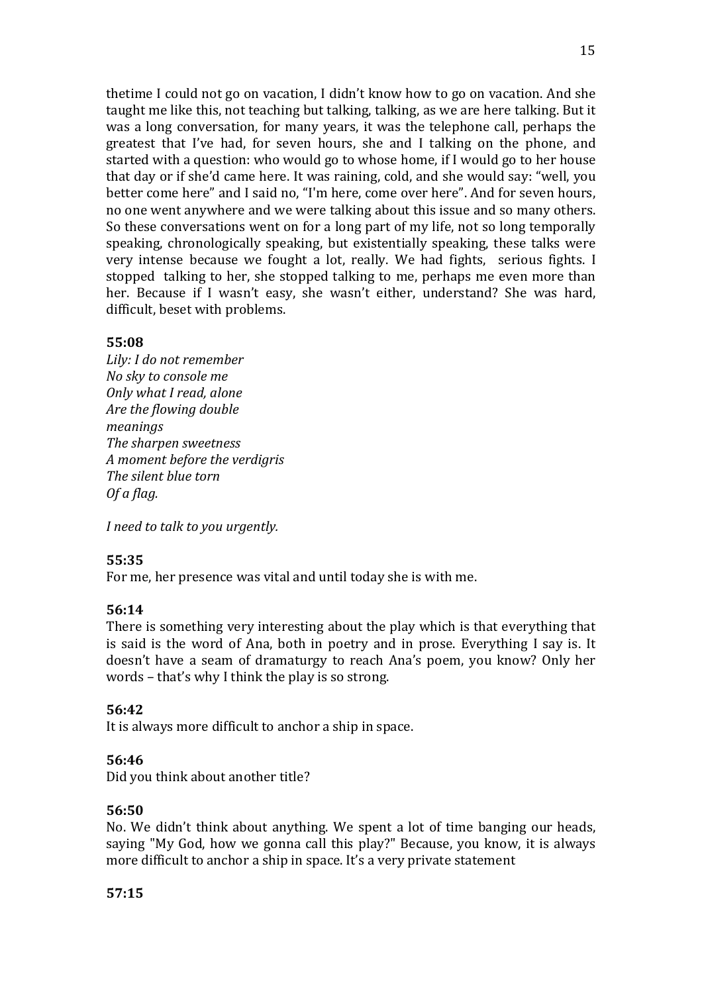thetime I could not go on vacation, I didn't know how to go on vacation. And she taught me like this, not teaching but talking, talking, as we are here talking. But it was a long conversation, for many years, it was the telephone call, perhaps the greatest that I've had, for seven hours, she and I talking on the phone, and started with a question: who would go to whose home, if I would go to her house that day or if she'd came here. It was raining, cold, and she would say: "well, you better come here" and I said no, "I'm here, come over here". And for seven hours, no one went anywhere and we were talking about this issue and so many others. So these conversations went on for a long part of my life, not so long temporally speaking, chronologically speaking, but existentially speaking, these talks were very intense because we fought a lot, really. We had fights, serious fights. I stopped talking to her, she stopped talking to me, perhaps me even more than her. Because if I wasn't easy, she wasn't either, understand? She was hard, difficult, beset with problems.

### **55:08**

*Lily: I do not remember No sky to console me Only what I read, alone Are the flowing double meanings The sharpen sweetness A moment before the verdigris The silent blue torn Of a flag.* 

*I need to talk to you urgently.*

## **55:35**

For me, her presence was vital and until today she is with me.

#### **56:14**

There is something very interesting about the play which is that everything that is said is the word of Ana, both in poetry and in prose. Everything I say is. It doesn't have a seam of dramaturgy to reach Ana's poem, you know? Only her words – that's why I think the play is so strong.

## **56:42**

It is always more difficult to anchor a ship in space.

## **56:46**

Did you think about another title?

## **56:50**

No. We didn't think about anything. We spent a lot of time banging our heads, saying "My God, how we gonna call this play?" Because, you know, it is always more difficult to anchor a ship in space. It's a very private statement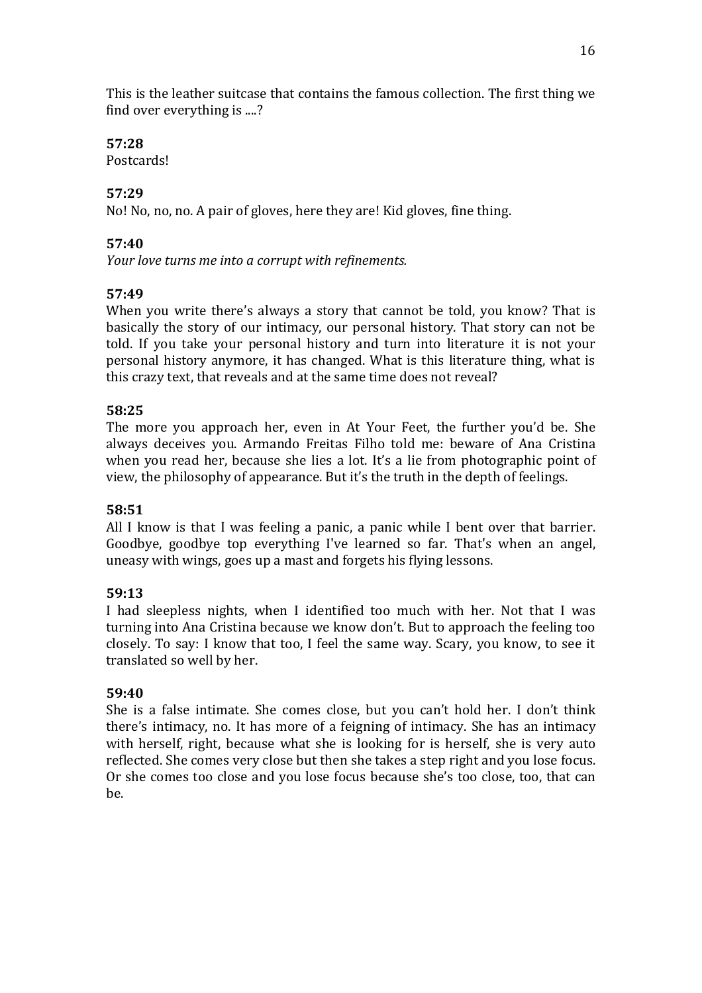This is the leather suitcase that contains the famous collection. The first thing we find over everything is ....?

# **57:28**

Postcards!

# **57:29**

No! No, no, no. A pair of gloves, here they are! Kid gloves, fine thing.

# **57:40**

*Your love turns me into a corrupt with refinements.* 

# **57:49**

When you write there's always a story that cannot be told, you know? That is basically the story of our intimacy, our personal history. That story can not be told. If you take your personal history and turn into literature it is not your personal history anymore, it has changed. What is this literature thing, what is this crazy text, that reveals and at the same time does not reveal?

# **58:25**

The more you approach her, even in At Your Feet, the further you'd be. She always deceives you. Armando Freitas Filho told me: beware of Ana Cristina when you read her, because she lies a lot. It's a lie from photographic point of view, the philosophy of appearance. But it's the truth in the depth of feelings.

## **58:51**

All I know is that I was feeling a panic, a panic while I bent over that barrier. Goodbye, goodbye top everything I've learned so far. That's when an angel, uneasy with wings, goes up a mast and forgets his flying lessons.

# **59:13**

I had sleepless nights, when I identified too much with her. Not that I was turning into Ana Cristina because we know don't. But to approach the feeling too closely. To say: I know that too, I feel the same way. Scary, you know, to see it translated so well by her.

## **59:40**

She is a false intimate. She comes close, but you can't hold her. I don't think there's intimacy, no. It has more of a feigning of intimacy. She has an intimacy with herself, right, because what she is looking for is herself, she is very auto reflected. She comes very close but then she takes a step right and you lose focus. Or she comes too close and you lose focus because she's too close, too, that can be.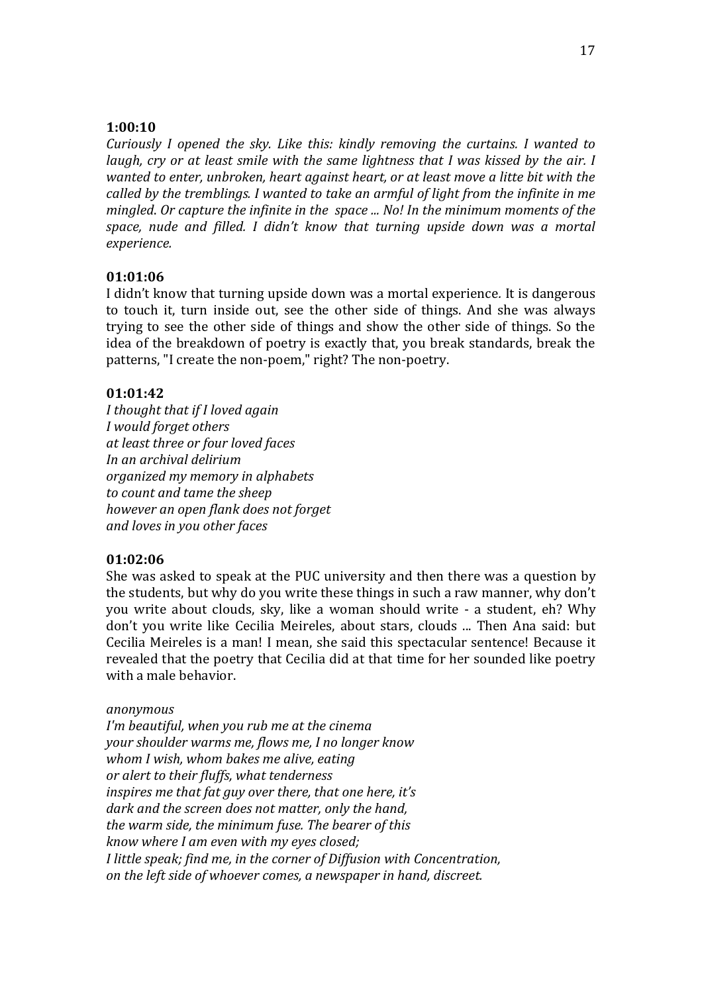#### **1:00:10**

*Curiously I opened the sky. Like this: kindly removing the curtains. I wanted to laugh, cry or at least smile with the same lightness that I was kissed by the air. I wanted to enter, unbroken, heart against heart, or at least move a litte bit with the called by the tremblings. I wanted to take an armful of light from the infinite in me mingled*. *Or capture the infinite in the space ... No! In the minimum moments of the space, nude and filled. I didn't know that turning upside down was a mortal experience.*

#### **01:01:06**

I didn't know that turning upside down was a mortal experience*.* It is dangerous to touch it, turn inside out, see the other side of things. And she was always trying to see the other side of things and show the other side of things. So the idea of the breakdown of poetry is exactly that, you break standards, break the patterns, "I create the non-poem," right? The non-poetry.

### **01:01:42**

*I thought that if I loved again I would forget others at least three or four loved faces In an archival delirium organized my memory in alphabets to count and tame the sheep however an open flank does not forget and loves in you other faces*

#### **01:02:06**

She was asked to speak at the PUC university and then there was a question by the students, but why do you write these things in such a raw manner, why don't you write about clouds, sky, like a woman should write - a student, eh? Why don't you write like Cecilia Meireles, about stars, clouds ... Then Ana said: but Cecilia Meireles is a man! I mean, she said this spectacular sentence! Because it revealed that the poetry that Cecilia did at that time for her sounded like poetry with a male behavior.

#### *anonymous*

*I'm beautiful, when you rub me at the cinema your shoulder warms me, flows me, I no longer know whom I wish, whom bakes me alive, eating or alert to their fluffs, what tenderness inspires me that fat guy over there, that one here, it's dark and the screen does not matter, only the hand, the warm side, the minimum fuse. The bearer of this know where I am even with my eyes closed; I little speak; find me, in the corner of Diffusion with Concentration, on the left side of whoever comes, a newspaper in hand, discreet.*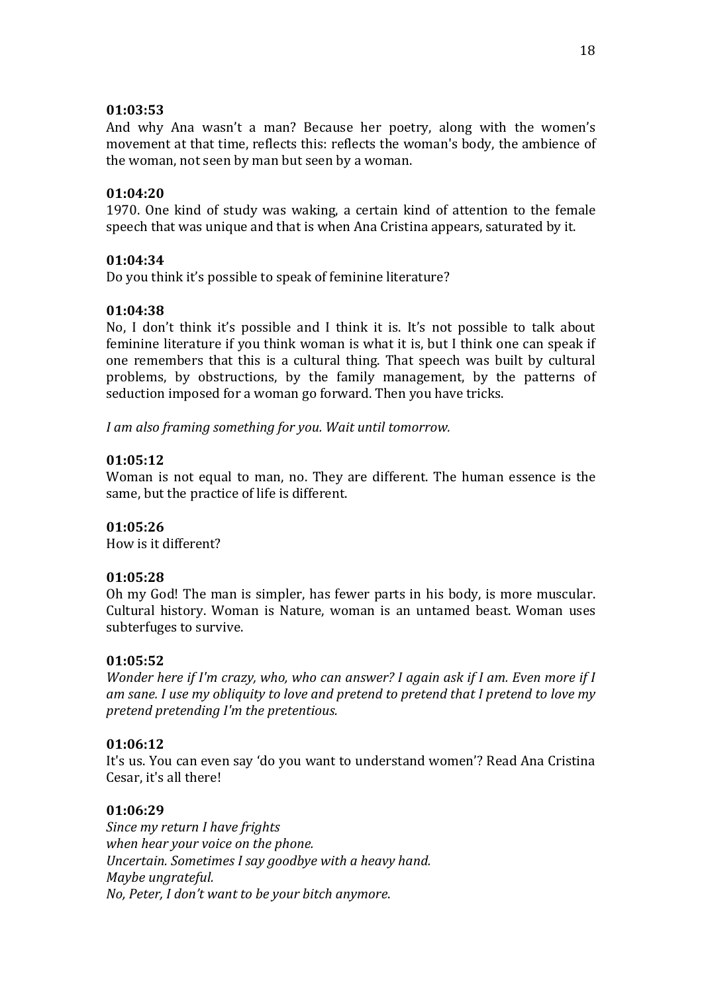### **01:03:53**

And why Ana wasn't a man? Because her poetry, along with the women's movement at that time, reflects this: reflects the woman's body, the ambience of the woman, not seen by man but seen by a woman.

### **01:04:20**

1970. One kind of study was waking, a certain kind of attention to the female speech that was unique and that is when Ana Cristina appears, saturated by it.

### **01:04:34**

Do you think it's possible to speak of feminine literature?

### **01:04:38**

No, I don't think it's possible and I think it is. It's not possible to talk about feminine literature if you think woman is what it is, but I think one can speak if one remembers that this is a cultural thing. That speech was built by cultural problems, by obstructions, by the family management, by the patterns of seduction imposed for a woman go forward. Then you have tricks.

*I am also framing something for you. Wait until tomorrow.*

### **01:05:12**

Woman is not equal to man, no. They are different. The human essence is the same, but the practice of life is different.

#### **01:05:26**

How is it different?

## **01:05:28**

Oh my God! The man is simpler, has fewer parts in his body, is more muscular. Cultural history. Woman is Nature, woman is an untamed beast. Woman uses subterfuges to survive.

#### **01:05:52**

*Wonder here if I'm crazy, who, who can answer? I again ask if I am. Even more if I am sane. I use my obliquity to love and pretend to pretend that I pretend to love my pretend pretending I'm the pretentious.*

#### **01:06:12**

It's us. You can even say 'do you want to understand women'? Read Ana Cristina Cesar, it's all there!

## **01:06:29**

*Since my return I have frights when hear your voice on the phone. Uncertain. Sometimes I say goodbye with a heavy hand. Maybe ungrateful. No, Peter, I don't want to be your bitch anymore*.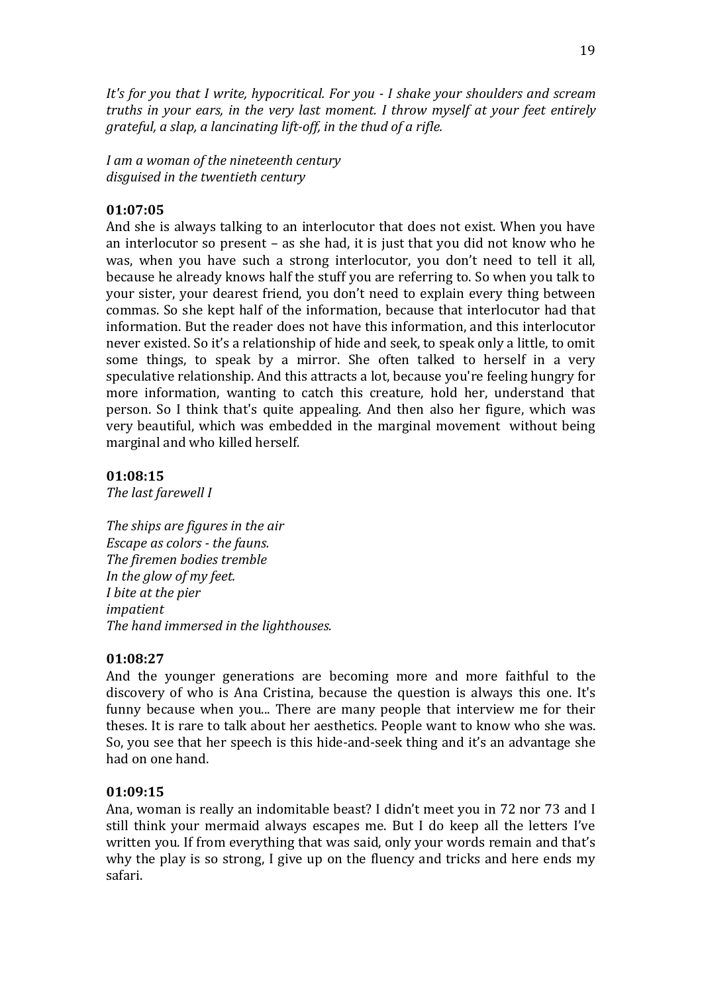*It's for you that I write, hypocritical. For you - I shake your shoulders and scream truths in your ears, in the very last moment. I throw myself at your feet entirely grateful, a slap, a lancinating lift-off, in the thud of a rifle.*

*I am a woman of the nineteenth century disguised in the twentieth century*

## **01:07:05**

And she is always talking to an interlocutor that does not exist. When you have an interlocutor so present – as she had, it is just that you did not know who he was, when you have such a strong interlocutor, you don't need to tell it all, because he already knows half the stuff you are referring to. So when you talk to your sister, your dearest friend, you don't need to explain every thing between commas. So she kept half of the information, because that interlocutor had that information. But the reader does not have this information, and this interlocutor never existed. So it's a relationship of hide and seek, to speak only a little, to omit some things, to speak by a mirror. She often talked to herself in a very speculative relationship. And this attracts a lot, because you're feeling hungry for more information, wanting to catch this creature, hold her, understand that person. So I think that's quite appealing. And then also her figure, which was very beautiful, which was embedded in the marginal movement without being marginal and who killed herself.

#### **01:08:15**

*The last farewell I*

*The ships are figures in the air Escape as colors - the fauns. The firemen bodies tremble In the glow of my feet. I bite at the pier impatient The hand immersed in the lighthouses.*

#### **01:08:27**

And the younger generations are becoming more and more faithful to the discovery of who is Ana Cristina, because the question is always this one. It's funny because when you... There are many people that interview me for their theses. It is rare to talk about her aesthetics. People want to know who she was. So, you see that her speech is this hide-and-seek thing and it's an advantage she had on one hand.

#### **01:09:15**

Ana, woman is really an indomitable beast? I didn't meet you in 72 nor 73 and I still think your mermaid always escapes me. But I do keep all the letters I've written you. If from everything that was said, only your words remain and that's why the play is so strong, I give up on the fluency and tricks and here ends my safari.